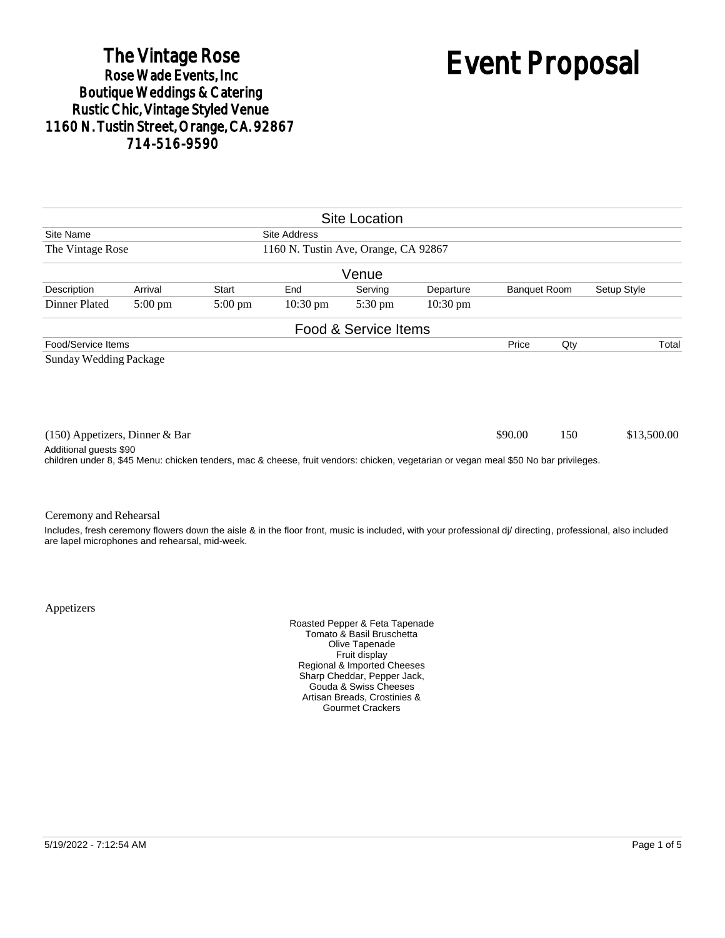# The Vintage Rose<br>Rose Wade Events, Inc. Boutique Weddings & Catering<br>Rustic Chic, Vintage Styled Venue 1160 N. Tustin Street, Orange, CA. 92867 714-516-9590

# Event Proposal

|                                                                                                                                      |                   |                   |                    | <b>Site Location</b> |                    |                     |     |                                                                                                                                                            |
|--------------------------------------------------------------------------------------------------------------------------------------|-------------------|-------------------|--------------------|----------------------|--------------------|---------------------|-----|------------------------------------------------------------------------------------------------------------------------------------------------------------|
| Site Name<br><b>Site Address</b>                                                                                                     |                   |                   |                    |                      |                    |                     |     |                                                                                                                                                            |
| 1160 N. Tustin Ave, Orange, CA 92867<br>The Vintage Rose                                                                             |                   |                   |                    |                      |                    |                     |     |                                                                                                                                                            |
|                                                                                                                                      |                   |                   |                    | Venue                |                    |                     |     |                                                                                                                                                            |
| Description                                                                                                                          | Arrival           | Start             | End                | Serving              | Departure          | <b>Banquet Room</b> |     | Setup Style                                                                                                                                                |
| Dinner Plated                                                                                                                        | $5:00 \text{ pm}$ | $5:00 \text{ pm}$ | $10:30 \text{ pm}$ | $5:30 \text{ pm}$    | $10:30 \text{ pm}$ |                     |     |                                                                                                                                                            |
|                                                                                                                                      |                   |                   |                    | Food & Service Items |                    |                     |     |                                                                                                                                                            |
| Food/Service Items                                                                                                                   |                   |                   |                    |                      |                    | Price               | Qty | Total                                                                                                                                                      |
| Sunday Wedding Package                                                                                                               |                   |                   |                    |                      |                    |                     |     |                                                                                                                                                            |
| $(150)$ Appetizers, Dinner & Bar<br>Additional guests \$90                                                                           |                   |                   |                    |                      |                    | \$90.00             | 150 | \$13,500.00                                                                                                                                                |
| children under 8, \$45 Menu: chicken tenders, mac & cheese, fruit vendors: chicken, vegetarian or vegan meal \$50 No bar privileges. |                   |                   |                    |                      |                    |                     |     |                                                                                                                                                            |
| Ceremony and Rehearsal                                                                                                               |                   |                   |                    |                      |                    |                     |     | Includes, fresh ceremony flowers down the aisle & in the floor front, music is included, with your professional di/ directing, professional, also included |

Appetizers

are lapel microphones and rehearsal, mid-week.

Roasted Pepper & Feta Tapenade Tomato & Basil Bruschetta Olive Tapenade Fruit display Regional & Imported Cheeses Sharp Cheddar, Pepper Jack, Gouda & Swiss Cheeses Artisan Breads, Crostinies & Gourmet Crackers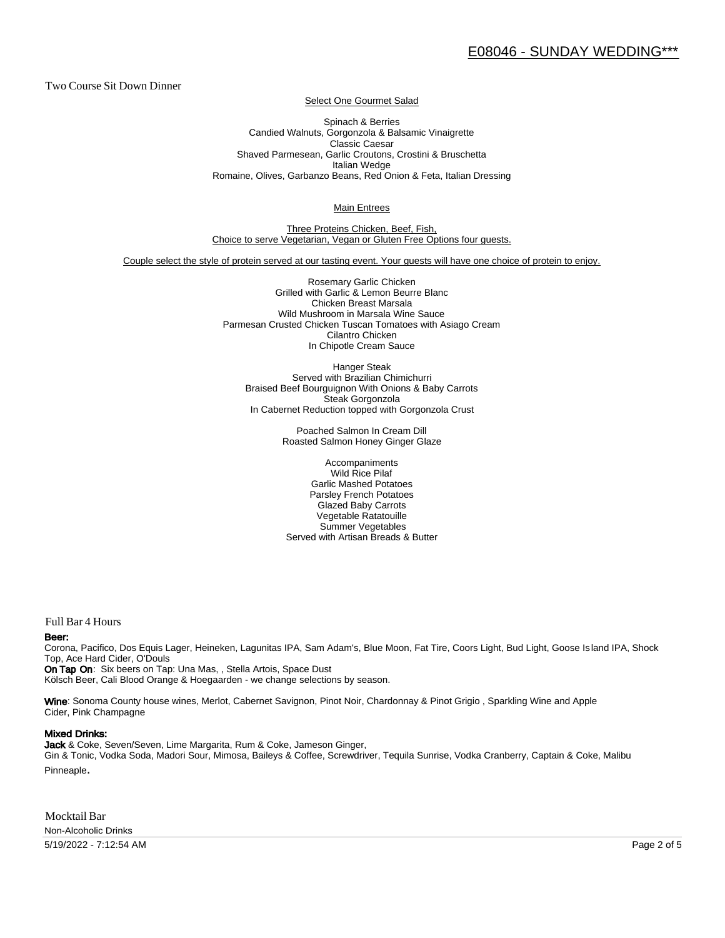Two Course Sit Down Dinner

Select One Gourmet Salad

Spinach & Berries Candied Walnuts, Gorgonzola & Balsamic Vinaigrette Classic Caesar Shaved Parmesean, Garlic Croutons, Crostini & Bruschetta Italian Wedge Romaine, Olives, Garbanzo Beans, Red Onion & Feta, Italian Dressing

Main Entrees

Three Proteins Chicken, Beef, Fish, Choice to serve Vegetarian, Vegan or Gluten Free Options four guests.

Couple select the style of protein served at our tasting event. Your guests will have one choice of protein to enjoy.

Rosemary Garlic Chicken Grilled with Garlic & Lemon Beurre Blanc Chicken Breast Marsala Wild Mushroom in Marsala Wine Sauce Parmesan Crusted Chicken Tuscan Tomatoes with Asiago Cream Cilantro Chicken In Chipotle Cream Sauce

Hanger Steak Served with Brazilian Chimichurri Braised Beef Bourguignon With Onions & Baby Carrots Steak Gorgonzola In Cabernet Reduction topped with Gorgonzola Crust

> Poached Salmon In Cream Dill Roasted Salmon Honey Ginger Glaze

Accompaniments Wild Rice Pilaf Garlic Mashed Potatoes Parsley French Potatoes Glazed Baby Carrots Vegetable Ratatouille Summer Vegetables Served with Artisan Breads & Butter

Full Bar 4 Hours

#### Beer:

Corona, Pacifico, Dos Equis Lager, Heineken, Lagunitas IPA, Sam Adam's, Blue Moon, Fat Tire, Coors Light, Bud Light, Goose Is land IPA, Shock Top, Ace Hard Cider, O'Douls

On Tap On: Six beers on Tap: Una Mas, , Stella Artois, Space Dust Kölsch Beer, Cali Blood Orange & Hoegaarden - we change selections by season.

Wine: Sonoma County house wines, Merlot, Cabernet Savignon, Pinot Noir, Chardonnay & Pinot Grigio, Sparkling Wine and Apple Cider, Pink Champagne

#### Mixed Drinks:

Jack & Coke, Seven/Seven, Lime Margarita, Rum & Coke, Jameson Ginger, Gin & Tonic, Vodka Soda, Madori Sour, Mimosa, Baileys & Coffee, Screwdriver, Tequila Sunrise, Vodka Cranberry, Captain & Coke, Malibu Pinneaple.

Mocktail Bar Non-Alcoholic Drinks

5/19/2022 - 7:12:54 AM Page 2 of 5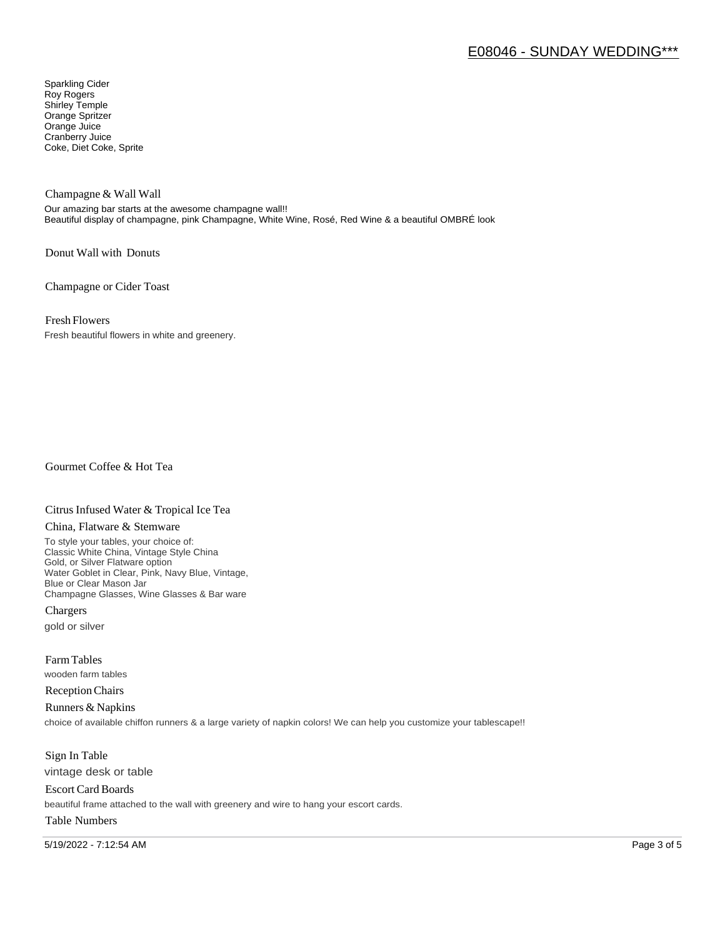# E08046 - SUNDAY WEDDING\*\*\*

Sparkling Cider Roy Rogers Shirley Temple Orange Spritzer Orange Juice Cranberry Juice Coke, Diet Coke, Sprite

Champagne & Wall Wall

Our amazing bar starts at the awesome champagne wall!! Beautiful display of champagne, pink Champagne, White Wine, Rosé, Red Wine & a beautiful OMBRÉ look

Donut Wall with Donuts

Champagne or Cider Toast

Fresh Flowers

Fresh beautiful flowers in white and greenery.

Gourmet Coffee & Hot Tea

#### Citrus Infused Water & Tropical Ice Tea

#### China, Flatware & Stemware

To style your tables, your choice of: Classic White China, Vintage Style China Gold, or Silver Flatware option Water Goblet in Clear, Pink, Navy Blue, Vintage, Blue or Clear Mason Jar Champagne Glasses, Wine Glasses & Bar ware

Chargers gold or silver

Farm Tables wooden farm tables

Reception Chairs

Runners & Napkins choice of available chiffon runners & a large variety of napkin colors! We can help you customize your tablescape!!

Sign In Table vintage desk or table

Escort Card Boards beautiful frame attached to the wall with greenery and wire to hang your escort cards.

### Table Numbers

5/19/2022 - 7:12:54 AM Page 3 of 5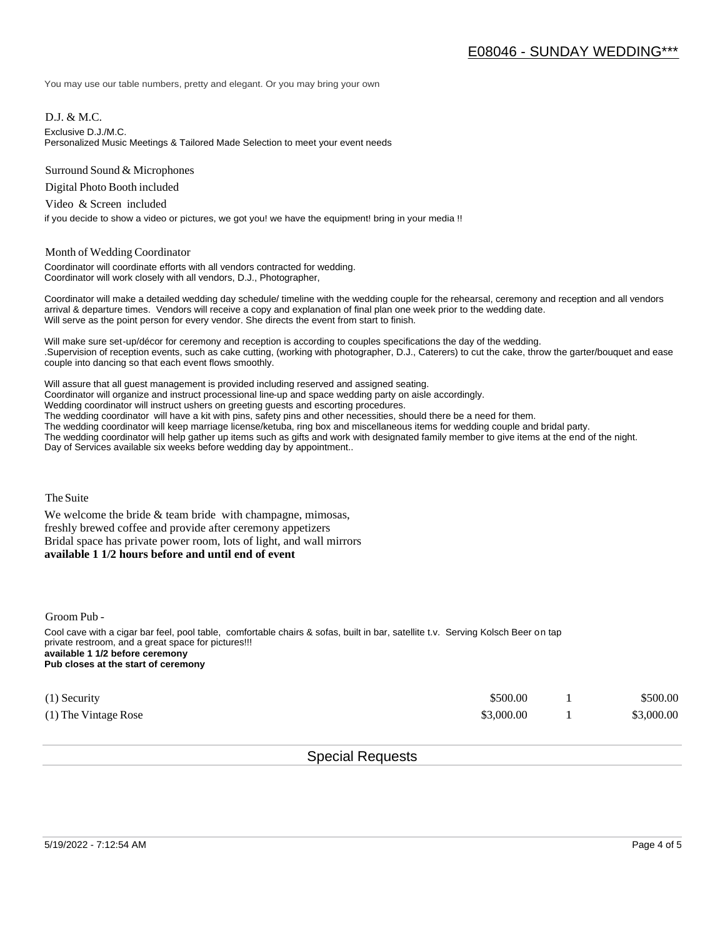You may use our table numbers, pretty and elegant. Or you may bring your own

D.J. & M.C.

Exclusive D.J./M.C.

Personalized Music Meetings & Tailored Made Selection to meet your event needs

Surround Sound & Microphones

Digital Photo Booth included

Video & Screen included

if you decide to show a video or pictures, we got you! we have the equipment! bring in your media !!

#### Month of Wedding Coordinator

Coordinator will coordinate efforts with all vendors contracted for wedding. Coordinator will work closely with all vendors, D.J., Photographer,

Coordinator will make a detailed wedding day schedule/ timeline with the wedding couple for the rehearsal, ceremony and reception and all vendors arrival & departure times. Vendors will receive a copy and explanation of final plan one week prior to the wedding date. Will serve as the point person for every vendor. She directs the event from start to finish.

Will make sure set-up/décor for ceremony and reception is according to couples specifications the day of the wedding. .Supervision of reception events, such as cake cutting, (working with photographer, D.J., Caterers) to cut the cake, throw the garter/bouquet and ease couple into dancing so that each event flows smoothly.

Will assure that all guest management is provided including reserved and assigned seating. Coordinator will organize and instruct processional line-up and space wedding party on aisle accordingly. Wedding coordinator will instruct ushers on greeting guests and escorting procedures. The wedding coordinator will have a kit with pins, safety pins and other necessities, should there be a need for them. The wedding coordinator will keep marriage license/ketuba, ring box and miscellaneous items for wedding couple and bridal party. The wedding coordinator will help gather up items such as gifts and work with designated family member to give items at the end of the night. Day of Services available six weeks before wedding day by appointment..

The Suite

We welcome the bride  $&$  team bride with champagne, mimosas, freshly brewed coffee and provide after ceremony appetizers Bridal space has private power room, lots of light, and wall mirrors **available 1 1/2 hours before and until end of event** 

Groom Pub -

Cool cave with a cigar bar feel, pool table, comfortable chairs & sofas, built in bar, satellite t.v. Serving Kolsch Beer on tap private restroom, and a great space for pictures!!! **available 1 1/2 before ceremony Pub closes at the start of ceremony**

| $(1)$ Security       | \$500.00   | \$500.00   |
|----------------------|------------|------------|
| (1) The Vintage Rose | \$3,000.00 | \$3,000.00 |

## Special Requests